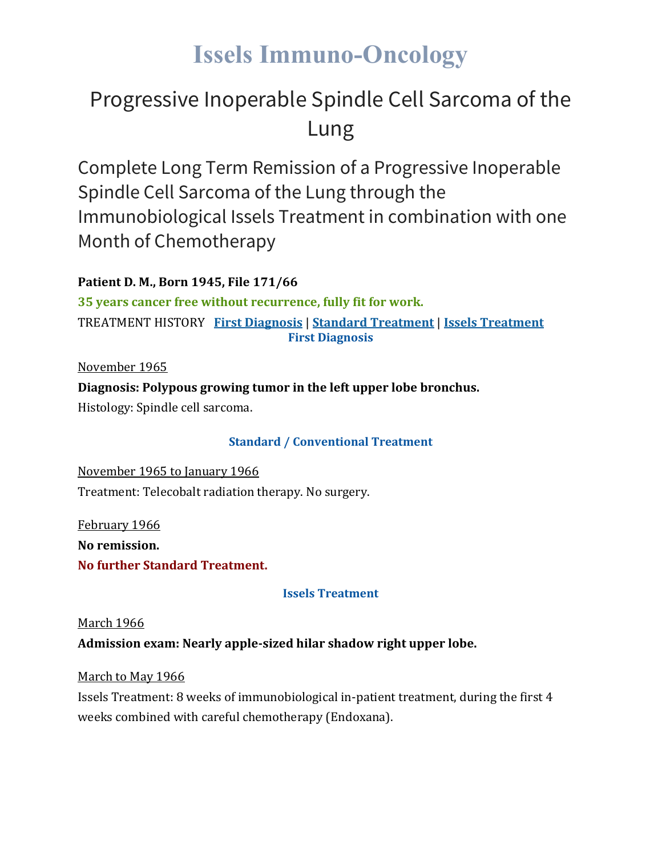### **Issels Immuno-Oncology**

### Progressive Inoperable Spindle Cell Sarcoma of the Lung

Complete Long Term Remission of a Progressive Inoperable Spindle Cell Sarcoma of the Lung through the Immunobiological Issels Treatment in combination with one Month of Chemotherapy

**Patient D. M., Born 1945, File 171/66**

**35 years cancer free without recurrence, fully fit for work.** TREATMENT HISTORY **First [Diagnosis](https://issels.com/cancer-cases/lung-2-progressive-inoperable-spindle-cell-sarcoma-of-the-lung/#First)** | **Standard [Treatment](https://issels.com/cancer-cases/lung-2-progressive-inoperable-spindle-cell-sarcoma-of-the-lung/#Standard)** | **Issels [Treatment](https://issels.com/cancer-cases/lung-2-progressive-inoperable-spindle-cell-sarcoma-of-the-lung/#Issels) First Diagnosis**

November 1965

**Diagnosis: Polypous growing tumor in the left upper lobe bronchus.**

Histology: Spindle cell sarcoma.

#### **Standard / Conventional Treatment**

November 1965 to January 1966 Treatment: Telecobalt radiation therapy. No surgery.

February 1966 **No remission. No further Standard Treatment.**

**Issels Treatment**

#### March 1966

**Admission exam: Nearly apple-sized hilar shadow right upper lobe.**

March to May 1966

Issels Treatment: 8 weeks of immunobiological in-patient treatment, during the first 4 weeks combined with careful chemotherapy (Endoxana).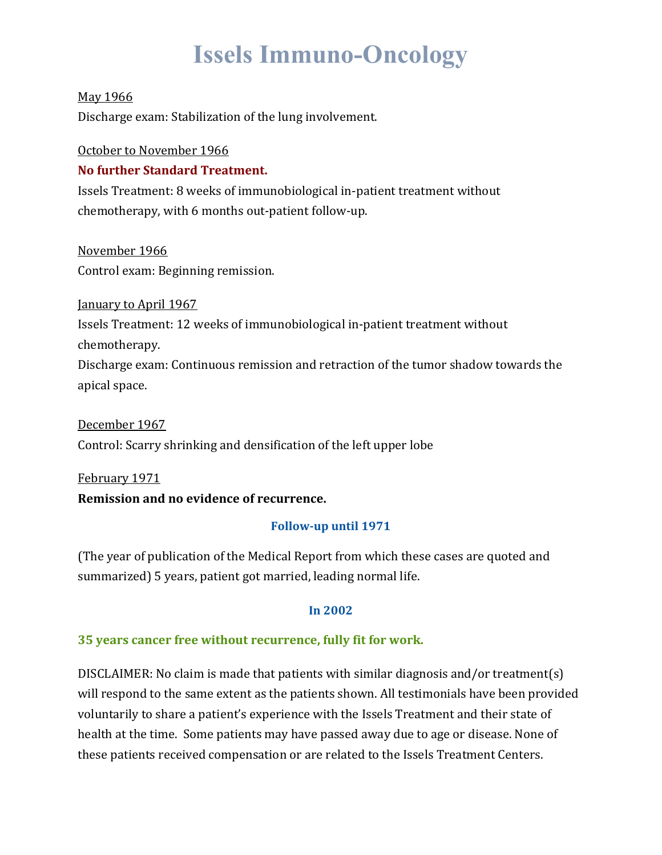## **Issels Immuno-Oncology**

#### May 1966

Discharge exam: Stabilization of the lung involvement.

#### October to November 1966

#### **No further Standard Treatment.**

Issels Treatment: 8 weeks of immunobiological in-patient treatment without chemotherapy, with 6 months out-patient follow-up.

November 1966 Control exam: Beginning remission.

January to April 1967 Issels Treatment: 12 weeks of immunobiological in-patient treatment without chemotherapy. Discharge exam: Continuous remission and retraction of the tumor shadow towards the apical space.

December 1967 Control: Scarry shrinking and densification of the left upper lobe

February 1971 **Remission and no evidence of recurrence.**

#### **Follow-up until 1971**

(The year of publication of the Medical Report from which these cases are quoted and summarized) 5 years, patient got married, leading normal life.

#### **In 2002**

#### **35 years cancer free without recurrence, fully fit for work.**

DISCLAIMER: No claim is made that patients with similar diagnosis and/or treatment(s) will respond to the same extent as the patients shown. All testimonials have been provided voluntarily to share a patient's experience with the Issels Treatment and their state of health at the time. Some patients may have passed away due to age or disease. None of these patients received compensation or are related to the Issels Treatment Centers.